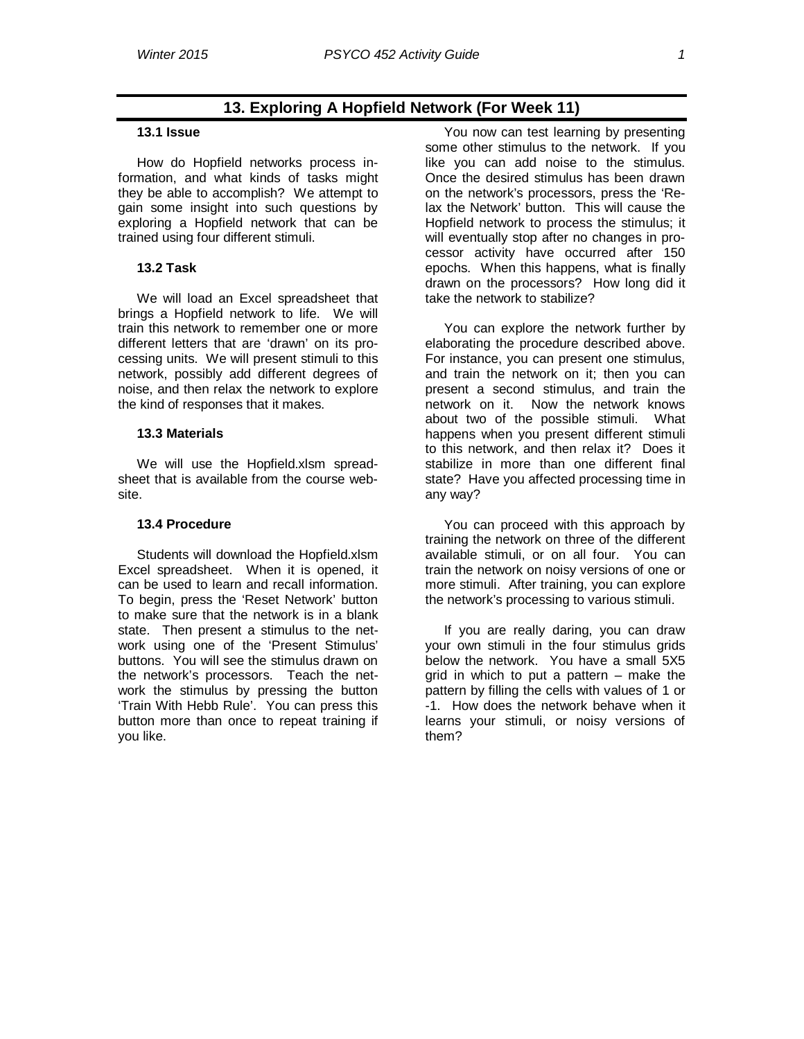# **13. Exploring A Hopfield Network (For Week 11)**

### **13.1 Issue**

How do Hopfield networks process information, and what kinds of tasks might they be able to accomplish? We attempt to gain some insight into such questions by exploring a Hopfield network that can be trained using four different stimuli.

## **13.2 Task**

We will load an Excel spreadsheet that brings a Hopfield network to life. We will train this network to remember one or more different letters that are 'drawn' on its processing units. We will present stimuli to this network, possibly add different degrees of noise, and then relax the network to explore the kind of responses that it makes.

### **13.3 Materials**

We will use the Hopfield.xlsm spreadsheet that is available from the course website.

#### **13.4 Procedure**

Students will download the Hopfield.xlsm Excel spreadsheet. When it is opened, it can be used to learn and recall information. To begin, press the 'Reset Network' button to make sure that the network is in a blank state. Then present a stimulus to the network using one of the 'Present Stimulus' buttons. You will see the stimulus drawn on the network's processors. Teach the network the stimulus by pressing the button 'Train With Hebb Rule'. You can press this button more than once to repeat training if you like.

You now can test learning by presenting some other stimulus to the network. If you like you can add noise to the stimulus. Once the desired stimulus has been drawn on the network's processors, press the 'Relax the Network' button. This will cause the Hopfield network to process the stimulus; it will eventually stop after no changes in processor activity have occurred after 150 epochs. When this happens, what is finally drawn on the processors? How long did it take the network to stabilize?

You can explore the network further by elaborating the procedure described above. For instance, you can present one stimulus, and train the network on it; then you can present a second stimulus, and train the network on it. Now the network knows about two of the possible stimuli. What happens when you present different stimuli to this network, and then relax it? Does it stabilize in more than one different final state? Have you affected processing time in any way?

You can proceed with this approach by training the network on three of the different available stimuli, or on all four. You can train the network on noisy versions of one or more stimuli. After training, you can explore the network's processing to various stimuli.

If you are really daring, you can draw your own stimuli in the four stimulus grids below the network. You have a small 5X5 arid in which to put a pattern  $-$  make the pattern by filling the cells with values of 1 or -1. How does the network behave when it learns your stimuli, or noisy versions of them?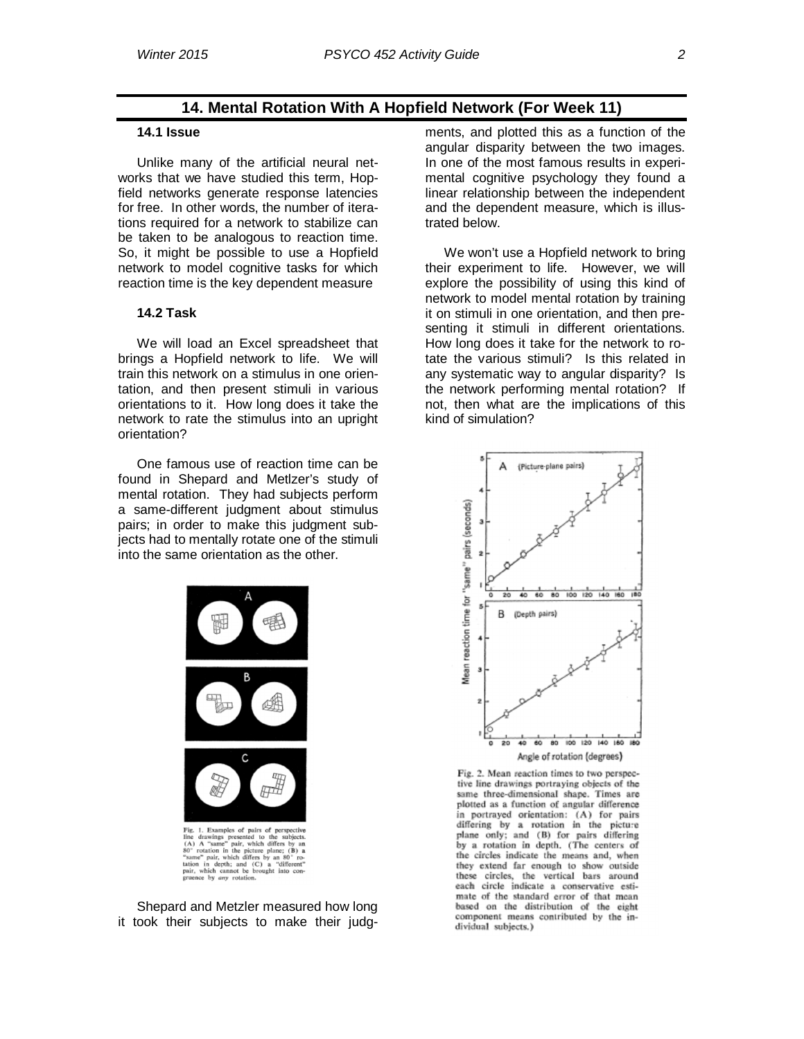# **14. Mental Rotation With A Hopfield Network (For Week 11)**

## **14.1 Issue**

Unlike many of the artificial neural networks that we have studied this term, Hopfield networks generate response latencies for free. In other words, the number of iterations required for a network to stabilize can be taken to be analogous to reaction time. So, it might be possible to use a Hopfield network to model cognitive tasks for which reaction time is the key dependent measure

## **14.2 Task**

We will load an Excel spreadsheet that brings a Hopfield network to life. We will train this network on a stimulus in one orientation, and then present stimuli in various orientations to it. How long does it take the network to rate the stimulus into an upright orientation?

One famous use of reaction time can be found in Shepard and Metlzer's study of mental rotation. They had subjects perform a same-different judgment about stimulus pairs; in order to make this judgment subjects had to mentally rotate one of the stimuli into the same orientation as the other.



Shepard and Metzler measured how long it took their subjects to make their judgments, and plotted this as a function of the angular disparity between the two images. In one of the most famous results in experimental cognitive psychology they found a linear relationship between the independent and the dependent measure, which is illustrated below.

We won't use a Hopfield network to bring their experiment to life. However, we will explore the possibility of using this kind of network to model mental rotation by training it on stimuli in one orientation, and then presenting it stimuli in different orientations. How long does it take for the network to rotate the various stimuli? Is this related in any systematic way to angular disparity? Is the network performing mental rotation? If not, then what are the implications of this kind of simulation?



Fig. 2. Mean reaction times to two perspective line drawings portraying objects of the same three-dimensional shape. Times are plotted as a function of angular difference in portrayed orientation: (A) for pairs differing by a rotation in the picture plane only; and (B) for pairs differing by a rotation in depth. (The centers of the circles indicate the means and, when they extend far enough to show outside these circles, the vertical bars around each circle indicate a conservative estimate of the standard error of that mean based on the distribution of the eight component means contributed by the individual subjects.)